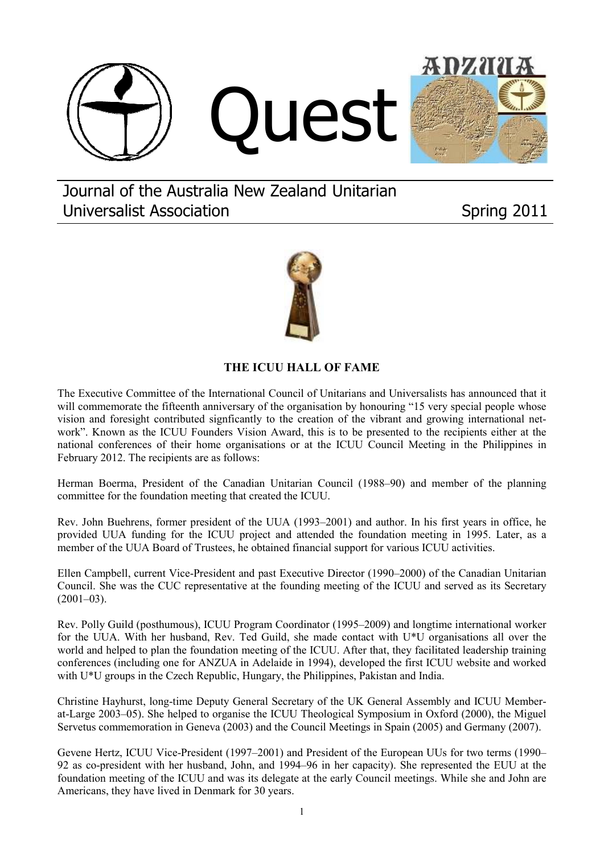



Journal of the Australia New Zealand Unitarian Universalist Association **Spring 2011** 



# **THE ICUU HALL OF FAME**

The Executive Committee of the International Council of Unitarians and Universalists has announced that it will commemorate the fifteenth anniversary of the organisation by honouring "15 very special people whose vision and foresight contributed signficantly to the creation of the vibrant and growing international network". Known as the ICUU Founders Vision Award, this is to be presented to the recipients either at the national conferences of their home organisations or at the ICUU Council Meeting in the Philippines in February 2012. The recipients are as follows:

Herman Boerma, President of the Canadian Unitarian Council (1988–90) and member of the planning committee for the foundation meeting that created the ICUU.

Rev. John Buehrens, former president of the UUA (1993–2001) and author. In his first years in office, he provided UUA funding for the ICUU project and attended the foundation meeting in 1995. Later, as a member of the UUA Board of Trustees, he obtained financial support for various ICUU activities.

Ellen Campbell, current Vice-President and past Executive Director (1990–2000) of the Canadian Unitarian Council. She was the CUC representative at the founding meeting of the ICUU and served as its Secretary  $(2001-03)$ .

Rev. Polly Guild (posthumous), ICUU Program Coordinator (1995–2009) and longtime international worker for the UUA. With her husband, Rev. Ted Guild, she made contact with U\*U organisations all over the world and helped to plan the foundation meeting of the ICUU. After that, they facilitated leadership training conferences (including one for ANZUA in Adelaide in 1994), developed the first ICUU website and worked with U<sup>\*</sup>U groups in the Czech Republic, Hungary, the Philippines, Pakistan and India.

Christine Hayhurst, long-time Deputy General Secretary of the UK General Assembly and ICUU Memberat-Large 2003–05). She helped to organise the ICUU Theological Symposium in Oxford (2000), the Miguel Servetus commemoration in Geneva (2003) and the Council Meetings in Spain (2005) and Germany (2007).

Gevene Hertz, ICUU Vice-President (1997–2001) and President of the European UUs for two terms (1990– 92 as co-president with her husband, John, and 1994–96 in her capacity). She represented the EUU at the foundation meeting of the ICUU and was its delegate at the early Council meetings. While she and John are Americans, they have lived in Denmark for 30 years.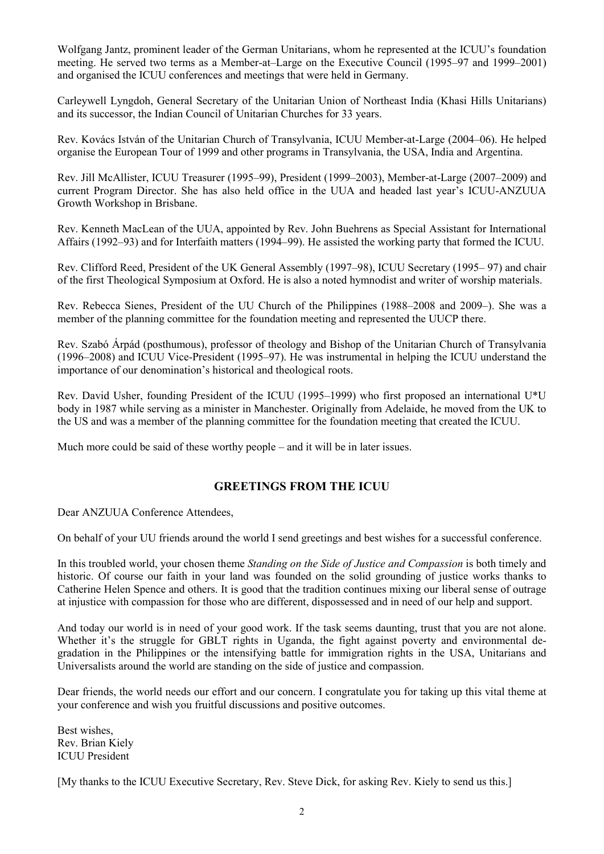Wolfgang Jantz, prominent leader of the German Unitarians, whom he represented at the ICUU's foundation meeting. He served two terms as a Member-at–Large on the Executive Council (1995–97 and 1999–2001) and organised the ICUU conferences and meetings that were held in Germany.

Carleywell Lyngdoh, General Secretary of the Unitarian Union of Northeast India (Khasi Hills Unitarians) and its successor, the Indian Council of Unitarian Churches for 33 years.

Rev. Kovács István of the Unitarian Church of Transylvania, ICUU Member-at-Large (2004–06). He helped organise the European Tour of 1999 and other programs in Transylvania, the USA, India and Argentina.

Rev. Jill McAllister, ICUU Treasurer (1995–99), President (1999–2003), Member-at-Large (2007–2009) and current Program Director. She has also held office in the UUA and headed last year's ICUU-ANZUUA Growth Workshop in Brisbane.

Rev. Kenneth MacLean of the UUA, appointed by Rev. John Buehrens as Special Assistant for International Affairs (1992–93) and for Interfaith matters (1994–99). He assisted the working party that formed the ICUU.

Rev. Clifford Reed, President of the UK General Assembly (1997–98), ICUU Secretary (1995– 97) and chair of the first Theological Symposium at Oxford. He is also a noted hymnodist and writer of worship materials.

Rev. Rebecca Sienes, President of the UU Church of the Philippines (1988–2008 and 2009–). She was a member of the planning committee for the foundation meeting and represented the UUCP there.

Rev. Szabó Árpád (posthumous), professor of theology and Bishop of the Unitarian Church of Transylvania (1996–2008) and ICUU Vice-President (1995–97). He was instrumental in helping the ICUU understand the importance of our denomination's historical and theological roots.

Rev. David Usher, founding President of the ICUU (1995–1999) who first proposed an international U\*U body in 1987 while serving as a minister in Manchester. Originally from Adelaide, he moved from the UK to the US and was a member of the planning committee for the foundation meeting that created the ICUU.

Much more could be said of these worthy people – and it will be in later issues.

### **GREETINGS FROM THE ICUU**

Dear ANZUUA Conference Attendees,

On behalf of your UU friends around the world I send greetings and best wishes for a successful conference.

In this troubled world, your chosen theme *Standing on the Side of Justice and Compassion* is both timely and historic. Of course our faith in your land was founded on the solid grounding of justice works thanks to Catherine Helen Spence and others. It is good that the tradition continues mixing our liberal sense of outrage at injustice with compassion for those who are different, dispossessed and in need of our help and support.

And today our world is in need of your good work. If the task seems daunting, trust that you are not alone. Whether it's the struggle for GBLT rights in Uganda, the fight against poverty and environmental degradation in the Philippines or the intensifying battle for immigration rights in the USA, Unitarians and Universalists around the world are standing on the side of justice and compassion.

Dear friends, the world needs our effort and our concern. I congratulate you for taking up this vital theme at your conference and wish you fruitful discussions and positive outcomes.

Best wishes, Rev. Brian Kiely ICUU President

[My thanks to the ICUU Executive Secretary, Rev. Steve Dick, for asking Rev. Kiely to send us this.]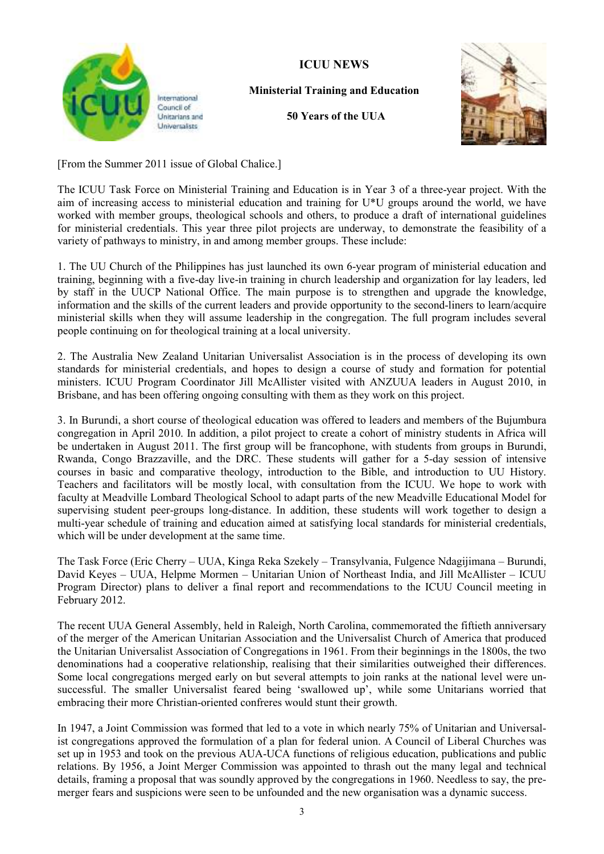

International Council of Unitarians and Universalists

## **ICUU NEWS**

## **Ministerial Training and Education**

**50 Years of the UUA** 



[From the Summer 2011 issue of Global Chalice.]

The ICUU Task Force on Ministerial Training and Education is in Year 3 of a three-year project. With the aim of increasing access to ministerial education and training for U\*U groups around the world, we have worked with member groups, theological schools and others, to produce a draft of international guidelines for ministerial credentials. This year three pilot projects are underway, to demonstrate the feasibility of a variety of pathways to ministry, in and among member groups. These include:

1. The UU Church of the Philippines has just launched its own 6-year program of ministerial education and training, beginning with a five-day live-in training in church leadership and organization for lay leaders, led by staff in the UUCP National Office. The main purpose is to strengthen and upgrade the knowledge, information and the skills of the current leaders and provide opportunity to the second-liners to learn/acquire ministerial skills when they will assume leadership in the congregation. The full program includes several people continuing on for theological training at a local university.

2. The Australia New Zealand Unitarian Universalist Association is in the process of developing its own standards for ministerial credentials, and hopes to design a course of study and formation for potential ministers. ICUU Program Coordinator Jill McAllister visited with ANZUUA leaders in August 2010, in Brisbane, and has been offering ongoing consulting with them as they work on this project.

3. In Burundi, a short course of theological education was offered to leaders and members of the Bujumbura congregation in April 2010. In addition, a pilot project to create a cohort of ministry students in Africa will be undertaken in August 2011. The first group will be francophone, with students from groups in Burundi, Rwanda, Congo Brazzaville, and the DRC. These students will gather for a 5-day session of intensive courses in basic and comparative theology, introduction to the Bible, and introduction to UU History. Teachers and facilitators will be mostly local, with consultation from the ICUU. We hope to work with faculty at Meadville Lombard Theological School to adapt parts of the new Meadville Educational Model for supervising student peer-groups long-distance. In addition, these students will work together to design a multi-year schedule of training and education aimed at satisfying local standards for ministerial credentials, which will be under development at the same time.

The Task Force (Eric Cherry – UUA, Kinga Reka Szekely – Transylvania, Fulgence Ndagijimana – Burundi, David Keyes – UUA, Helpme Mormen – Unitarian Union of Northeast India, and Jill McAllister – ICUU Program Director) plans to deliver a final report and recommendations to the ICUU Council meeting in February 2012.

The recent UUA General Assembly, held in Raleigh, North Carolina, commemorated the fiftieth anniversary of the merger of the American Unitarian Association and the Universalist Church of America that produced the Unitarian Universalist Association of Congregations in 1961. From their beginnings in the 1800s, the two denominations had a cooperative relationship, realising that their similarities outweighed their differences. Some local congregations merged early on but several attempts to join ranks at the national level were unsuccessful. The smaller Universalist feared being 'swallowed up', while some Unitarians worried that embracing their more Christian-oriented confreres would stunt their growth.

In 1947, a Joint Commission was formed that led to a vote in which nearly 75% of Unitarian and Universalist congregations approved the formulation of a plan for federal union. A Council of Liberal Churches was set up in 1953 and took on the previous AUA-UCA functions of religious education, publications and public relations. By 1956, a Joint Merger Commission was appointed to thrash out the many legal and technical details, framing a proposal that was soundly approved by the congregations in 1960. Needless to say, the premerger fears and suspicions were seen to be unfounded and the new organisation was a dynamic success.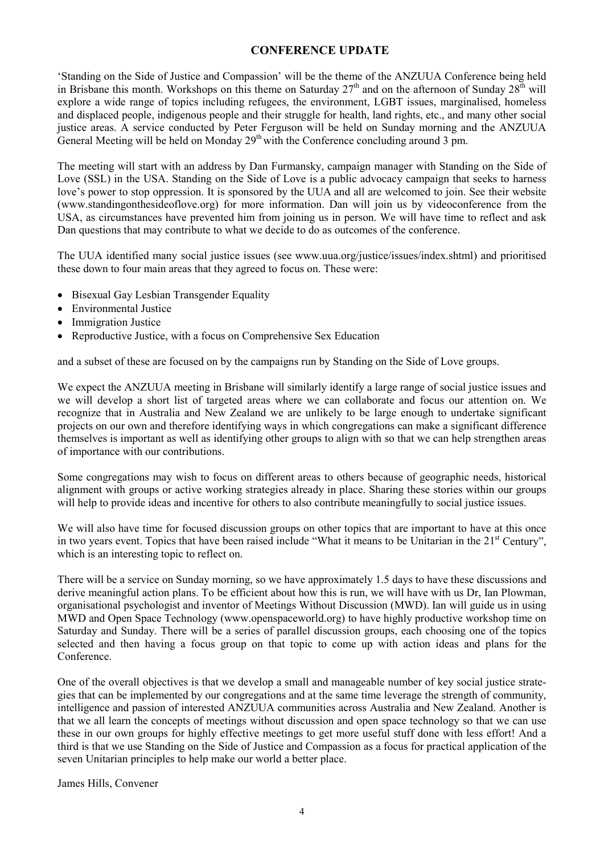### **CONFERENCE UPDATE**

'Standing on the Side of Justice and Compassion' will be the theme of the ANZUUA Conference being held in Brisbane this month. Workshops on this theme on Saturday  $27<sup>th</sup>$  and on the afternoon of Sunday  $28<sup>th</sup>$  will explore a wide range of topics including refugees, the environment, LGBT issues, marginalised, homeless and displaced people, indigenous people and their struggle for health, land rights, etc., and many other social justice areas. A service conducted by Peter Ferguson will be held on Sunday morning and the ANZUUA General Meeting will be held on Monday  $29<sup>th</sup>$  with the Conference concluding around 3 pm.

The meeting will start with an address by Dan Furmansky, campaign manager with Standing on the Side of Love (SSL) in the USA. Standing on the Side of Love is a public advocacy campaign that seeks to harness love's power to stop oppression. It is sponsored by the UUA and all are welcomed to join. See their website (www.standingonthesideoflove.org) for more information. Dan will join us by videoconference from the USA, as circumstances have prevented him from joining us in person. We will have time to reflect and ask Dan questions that may contribute to what we decide to do as outcomes of the conference.

The UUA identified many social justice issues (see www.uua.org/justice/issues/index.shtml) and prioritised these down to four main areas that they agreed to focus on. These were:

- Bisexual Gay Lesbian Transgender Equality
- Environmental Justice
- Immigration Justice
- Reproductive Justice, with a focus on Comprehensive Sex Education

and a subset of these are focused on by the campaigns run by Standing on the Side of Love groups.

We expect the ANZUUA meeting in Brisbane will similarly identify a large range of social justice issues and we will develop a short list of targeted areas where we can collaborate and focus our attention on. We recognize that in Australia and New Zealand we are unlikely to be large enough to undertake significant projects on our own and therefore identifying ways in which congregations can make a significant difference themselves is important as well as identifying other groups to align with so that we can help strengthen areas of importance with our contributions.

Some congregations may wish to focus on different areas to others because of geographic needs, historical alignment with groups or active working strategies already in place. Sharing these stories within our groups will help to provide ideas and incentive for others to also contribute meaningfully to social justice issues.

We will also have time for focused discussion groups on other topics that are important to have at this once in two years event. Topics that have been raised include "What it means to be Unitarian in the 21<sup>st</sup> Century", which is an interesting topic to reflect on.

There will be a service on Sunday morning, so we have approximately 1.5 days to have these discussions and derive meaningful action plans. To be efficient about how this is run, we will have with us Dr, Ian Plowman, organisational psychologist and inventor of Meetings Without Discussion (MWD). Ian will guide us in using MWD and Open Space Technology (www.openspaceworld.org) to have highly productive workshop time on Saturday and Sunday. There will be a series of parallel discussion groups, each choosing one of the topics selected and then having a focus group on that topic to come up with action ideas and plans for the Conference.

One of the overall objectives is that we develop a small and manageable number of key social justice strategies that can be implemented by our congregations and at the same time leverage the strength of community, intelligence and passion of interested ANZUUA communities across Australia and New Zealand. Another is that we all learn the concepts of meetings without discussion and open space technology so that we can use these in our own groups for highly effective meetings to get more useful stuff done with less effort! And a third is that we use Standing on the Side of Justice and Compassion as a focus for practical application of the seven Unitarian principles to help make our world a better place.

James Hills, Convener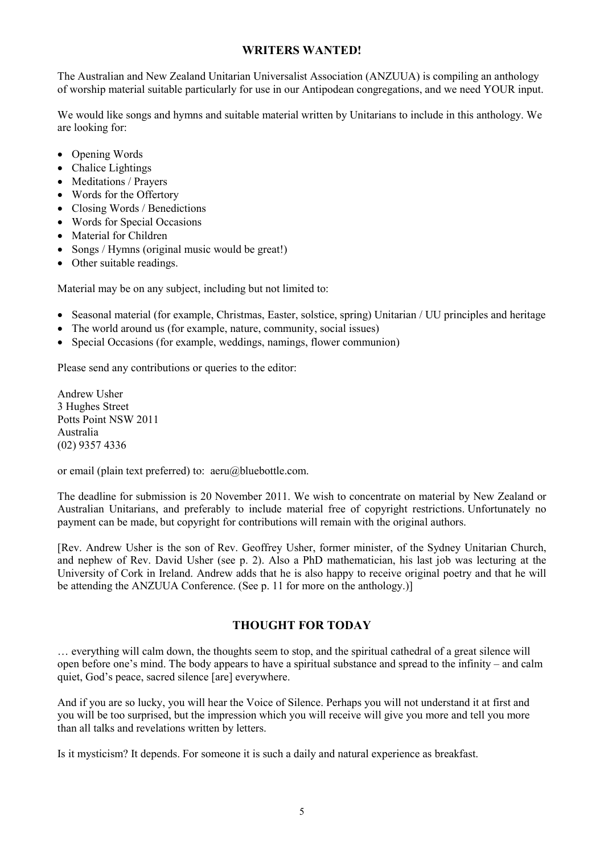### **WRITERS WANTED!**

The Australian and New Zealand Unitarian Universalist Association (ANZUUA) is compiling an anthology of worship material suitable particularly for use in our Antipodean congregations, and we need YOUR input.

We would like songs and hymns and suitable material written by Unitarians to include in this anthology. We are looking for:

- Opening Words
- Chalice Lightings
- Meditations / Prayers
- Words for the Offertory
- Closing Words / Benedictions
- Words for Special Occasions
- Material for Children
- Songs / Hymns (original music would be great!)
- Other suitable readings.

Material may be on any subject, including but not limited to:

- Seasonal material (for example, Christmas, Easter, solstice, spring) Unitarian / UU principles and heritage
- The world around us (for example, nature, community, social issues)
- Special Occasions (for example, weddings, namings, flower communion)

Please send any contributions or queries to the editor:

Andrew Usher 3 Hughes Street Potts Point NSW 2011 Australia (02) 9357 4336

or email (plain text preferred) to: aeru@bluebottle.com.

The deadline for submission is 20 November 2011. We wish to concentrate on material by New Zealand or Australian Unitarians, and preferably to include material free of copyright restrictions. Unfortunately no payment can be made, but copyright for contributions will remain with the original authors.

[Rev. Andrew Usher is the son of Rev. Geoffrey Usher, former minister, of the Sydney Unitarian Church, and nephew of Rev. David Usher (see p. 2). Also a PhD mathematician, his last job was lecturing at the University of Cork in Ireland. Andrew adds that he is also happy to receive original poetry and that he will be attending the ANZUUA Conference. (See p. 11 for more on the anthology.)]

### **THOUGHT FOR TODAY**

… everything will calm down, the thoughts seem to stop, and the spiritual cathedral of a great silence will open before one's mind. The body appears to have a spiritual substance and spread to the infinity – and calm quiet, God's peace, sacred silence [are] everywhere.

And if you are so lucky, you will hear the Voice of Silence. Perhaps you will not understand it at first and you will be too surprised, but the impression which you will receive will give you more and tell you more than all talks and revelations written by letters.

Is it mysticism? It depends. For someone it is such a daily and natural experience as breakfast.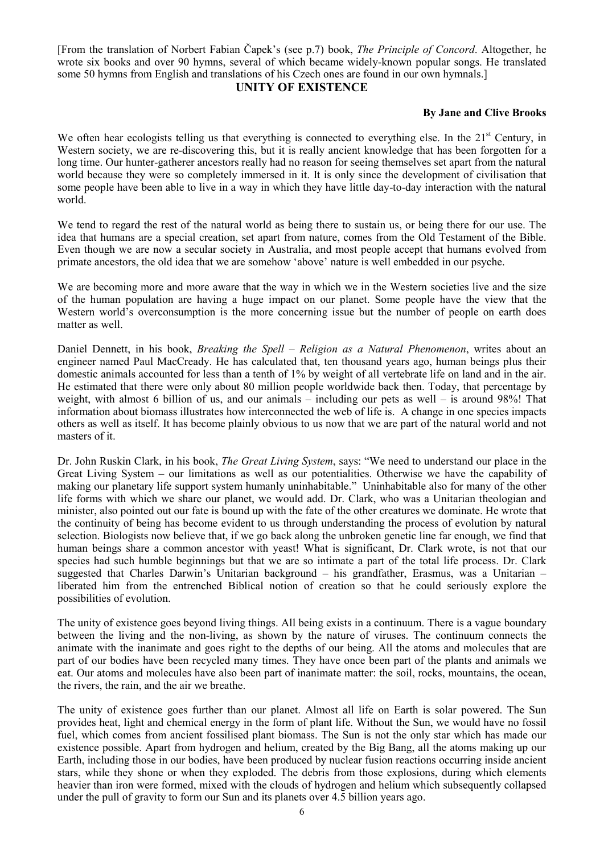[From the translation of Norbert Fabian Čapek's (see p.7) book, *The Principle of Concord*. Altogether, he wrote six books and over 90 hymns, several of which became widely-known popular songs. He translated some 50 hymns from English and translations of his Czech ones are found in our own hymnals.]

#### **UNITY OF EXISTENCE**

### **By Jane and Clive Brooks**

We often hear ecologists telling us that everything is connected to everything else. In the  $21<sup>st</sup>$  Century, in Western society, we are re-discovering this, but it is really ancient knowledge that has been forgotten for a long time. Our hunter-gatherer ancestors really had no reason for seeing themselves set apart from the natural world because they were so completely immersed in it. It is only since the development of civilisation that some people have been able to live in a way in which they have little day-to-day interaction with the natural world.

We tend to regard the rest of the natural world as being there to sustain us, or being there for our use. The idea that humans are a special creation, set apart from nature, comes from the Old Testament of the Bible. Even though we are now a secular society in Australia, and most people accept that humans evolved from primate ancestors, the old idea that we are somehow 'above' nature is well embedded in our psyche.

We are becoming more and more aware that the way in which we in the Western societies live and the size of the human population are having a huge impact on our planet. Some people have the view that the Western world's overconsumption is the more concerning issue but the number of people on earth does matter as well

Daniel Dennett, in his book, *Breaking the Spell – Religion as a Natural Phenomenon*, writes about an engineer named Paul MacCready. He has calculated that, ten thousand years ago, human beings plus their domestic animals accounted for less than a tenth of 1% by weight of all vertebrate life on land and in the air. He estimated that there were only about 80 million people worldwide back then. Today, that percentage by weight, with almost 6 billion of us, and our animals – including our pets as well – is around 98%! That information about biomass illustrates how interconnected the web of life is. A change in one species impacts others as well as itself. It has become plainly obvious to us now that we are part of the natural world and not masters of it.

Dr. John Ruskin Clark, in his book, *The Great Living System*, says: "We need to understand our place in the Great Living System – our limitations as well as our potentialities. Otherwise we have the capability of making our planetary life support system humanly uninhabitable." Uninhabitable also for many of the other life forms with which we share our planet, we would add. Dr. Clark, who was a Unitarian theologian and minister, also pointed out our fate is bound up with the fate of the other creatures we dominate. He wrote that the continuity of being has become evident to us through understanding the process of evolution by natural selection. Biologists now believe that, if we go back along the unbroken genetic line far enough, we find that human beings share a common ancestor with yeast! What is significant, Dr. Clark wrote, is not that our species had such humble beginnings but that we are so intimate a part of the total life process. Dr. Clark suggested that Charles Darwin's Unitarian background – his grandfather, Erasmus, was a Unitarian – liberated him from the entrenched Biblical notion of creation so that he could seriously explore the possibilities of evolution.

The unity of existence goes beyond living things. All being exists in a continuum. There is a vague boundary between the living and the non-living, as shown by the nature of viruses. The continuum connects the animate with the inanimate and goes right to the depths of our being. All the atoms and molecules that are part of our bodies have been recycled many times. They have once been part of the plants and animals we eat. Our atoms and molecules have also been part of inanimate matter: the soil, rocks, mountains, the ocean, the rivers, the rain, and the air we breathe.

The unity of existence goes further than our planet. Almost all life on Earth is solar powered. The Sun provides heat, light and chemical energy in the form of plant life. Without the Sun, we would have no fossil fuel, which comes from ancient fossilised plant biomass. The Sun is not the only star which has made our existence possible. Apart from hydrogen and helium, created by the Big Bang, all the atoms making up our Earth, including those in our bodies, have been produced by nuclear fusion reactions occurring inside ancient stars, while they shone or when they exploded. The debris from those explosions, during which elements heavier than iron were formed, mixed with the clouds of hydrogen and helium which subsequently collapsed under the pull of gravity to form our Sun and its planets over 4.5 billion years ago.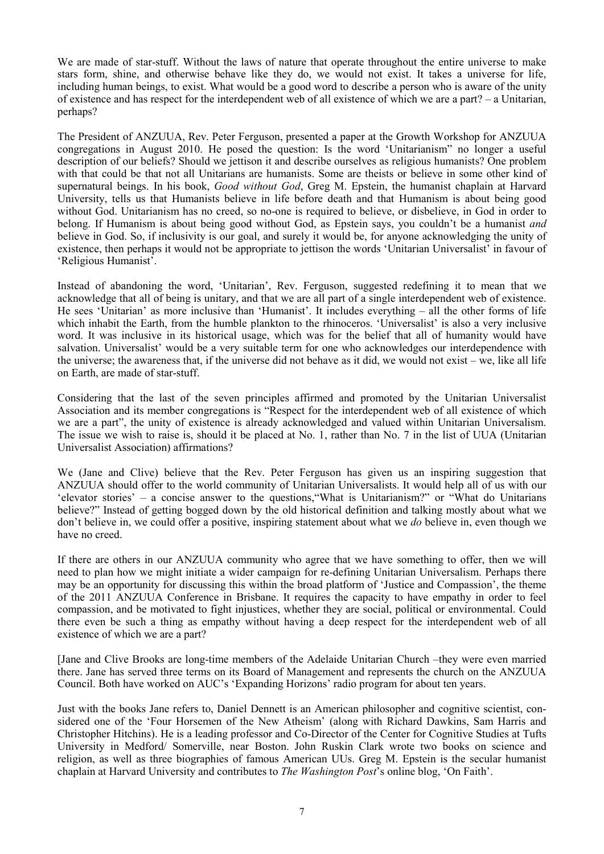We are made of star-stuff. Without the laws of nature that operate throughout the entire universe to make stars form, shine, and otherwise behave like they do, we would not exist. It takes a universe for life, including human beings, to exist. What would be a good word to describe a person who is aware of the unity of existence and has respect for the interdependent web of all existence of which we are a part? – a Unitarian, perhaps?

The President of ANZUUA, Rev. Peter Ferguson, presented a paper at the Growth Workshop for ANZUUA congregations in August 2010. He posed the question: Is the word 'Unitarianism" no longer a useful description of our beliefs? Should we jettison it and describe ourselves as religious humanists? One problem with that could be that not all Unitarians are humanists. Some are theists or believe in some other kind of supernatural beings. In his book, *Good without God*, Greg M. Epstein, the humanist chaplain at Harvard University, tells us that Humanists believe in life before death and that Humanism is about being good without God. Unitarianism has no creed, so no-one is required to believe, or disbelieve, in God in order to belong. If Humanism is about being good without God, as Epstein says, you couldn't be a humanist *and* believe in God. So, if inclusivity is our goal, and surely it would be, for anyone acknowledging the unity of existence, then perhaps it would not be appropriate to jettison the words 'Unitarian Universalist' in favour of 'Religious Humanist'.

Instead of abandoning the word, 'Unitarian', Rev. Ferguson, suggested redefining it to mean that we acknowledge that all of being is unitary, and that we are all part of a single interdependent web of existence. He sees 'Unitarian' as more inclusive than 'Humanist'. It includes everything – all the other forms of life which inhabit the Earth, from the humble plankton to the rhinoceros. 'Universalist' is also a very inclusive word. It was inclusive in its historical usage, which was for the belief that all of humanity would have salvation. Universalist' would be a very suitable term for one who acknowledges our interdependence with the universe; the awareness that, if the universe did not behave as it did, we would not exist – we, like all life on Earth, are made of star-stuff.

Considering that the last of the seven principles affirmed and promoted by the Unitarian Universalist Association and its member congregations is "Respect for the interdependent web of all existence of which we are a part", the unity of existence is already acknowledged and valued within Unitarian Universalism. The issue we wish to raise is, should it be placed at No. 1, rather than No. 7 in the list of UUA (Unitarian Universalist Association) affirmations?

We (Jane and Clive) believe that the Rev. Peter Ferguson has given us an inspiring suggestion that ANZUUA should offer to the world community of Unitarian Universalists. It would help all of us with our 'elevator stories' – a concise answer to the questions,"What is Unitarianism?" or "What do Unitarians believe?" Instead of getting bogged down by the old historical definition and talking mostly about what we don't believe in, we could offer a positive, inspiring statement about what we *do* believe in, even though we have no creed.

If there are others in our ANZUUA community who agree that we have something to offer, then we will need to plan how we might initiate a wider campaign for re-defining Unitarian Universalism. Perhaps there may be an opportunity for discussing this within the broad platform of 'Justice and Compassion', the theme of the 2011 ANZUUA Conference in Brisbane. It requires the capacity to have empathy in order to feel compassion, and be motivated to fight injustices, whether they are social, political or environmental. Could there even be such a thing as empathy without having a deep respect for the interdependent web of all existence of which we are a part?

[Jane and Clive Brooks are long-time members of the Adelaide Unitarian Church –they were even married there. Jane has served three terms on its Board of Management and represents the church on the ANZUUA Council. Both have worked on AUC's 'Expanding Horizons' radio program for about ten years.

Just with the books Jane refers to, Daniel Dennett is an American philosopher and cognitive scientist, considered one of the 'Four Horsemen of the New Atheism' (along with Richard Dawkins, Sam Harris and Christopher Hitchins). He is a leading professor and Co-Director of the Center for Cognitive Studies at Tufts University in Medford/ Somerville, near Boston. John Ruskin Clark wrote two books on science and religion, as well as three biographies of famous American UUs. Greg M. Epstein is the secular humanist chaplain at Harvard University and contributes to *The Washington Post*'s online blog, 'On Faith'.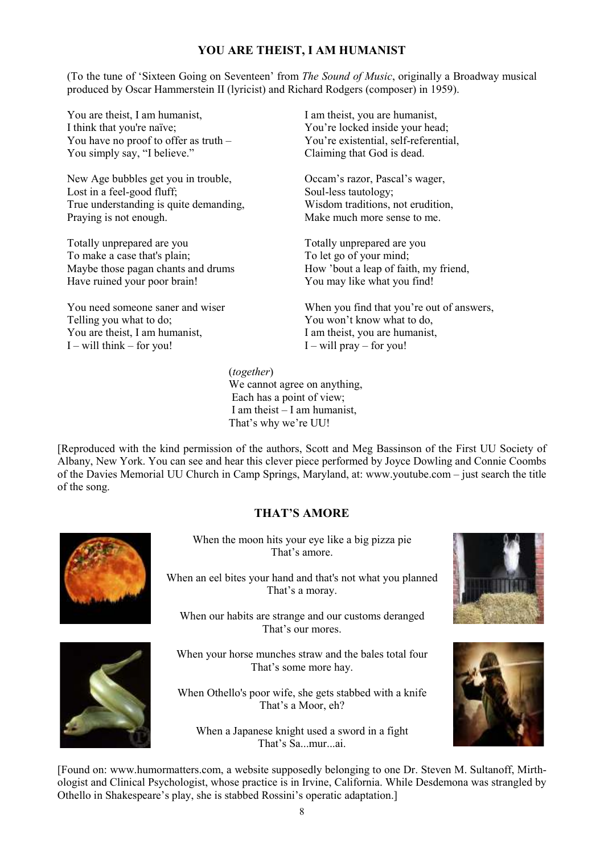## **YOU ARE THEIST, I AM HUMANIST**

(To the tune of 'Sixteen Going on Seventeen' from *The Sound of Music*, originally a Broadway musical produced by Oscar Hammerstein II (lyricist) and Richard Rodgers (composer) in 1959).

You are theist, I am humanist, I think that you're naïve; You have no proof to offer as truth – You simply say, "I believe."

New Age bubbles get you in trouble, Lost in a feel-good fluff; True understanding is quite demanding, Praying is not enough.

Totally unprepared are you To make a case that's plain; Maybe those pagan chants and drums Have ruined your poor brain!

You need someone saner and wiser Telling you what to do; You are theist, I am humanist,  $I -$  will think – for you!

I am theist, you are humanist, You're locked inside your head; You're existential, self-referential, Claiming that God is dead.

Occam's razor, Pascal's wager, Soul-less tautology; Wisdom traditions, not erudition, Make much more sense to me.

Totally unprepared are you To let go of your mind; How 'bout a leap of faith, my friend, You may like what you find!

When you find that you're out of answers, You won't know what to do, I am theist, you are humanist,  $I -$  will pray – for you!

 (*together*) We cannot agree on anything, Each has a point of view; I am theist – I am humanist, That's why we're UU!

[Reproduced with the kind permission of the authors, Scott and Meg Bassinson of the First UU Society of Albany, New York. You can see and hear this clever piece performed by Joyce Dowling and Connie Coombs of the Davies Memorial UU Church in Camp Springs, Maryland, at: www.youtube.com – just search the title of the song.

### **THAT'S AMORE**



When the moon hits your eye like a big pizza pie That's amore.

When an eel bites your hand and that's not what you planned That's a moray.

When our habits are strange and our customs deranged That's our mores.



When your horse munches straw and the bales total four That's some more hay.

When Othello's poor wife, she gets stabbed with a knife That's a Moor, eh?

When a Japanese knight used a sword in a fight That's Sa...mur...ai.





[Found on: www.humormatters.com, a website supposedly belonging to one Dr. Steven M. Sultanoff, Mirthologist and Clinical Psychologist, whose practice is in Irvine, California. While Desdemona was strangled by Othello in Shakespeare's play, she is stabbed Rossini's operatic adaptation.]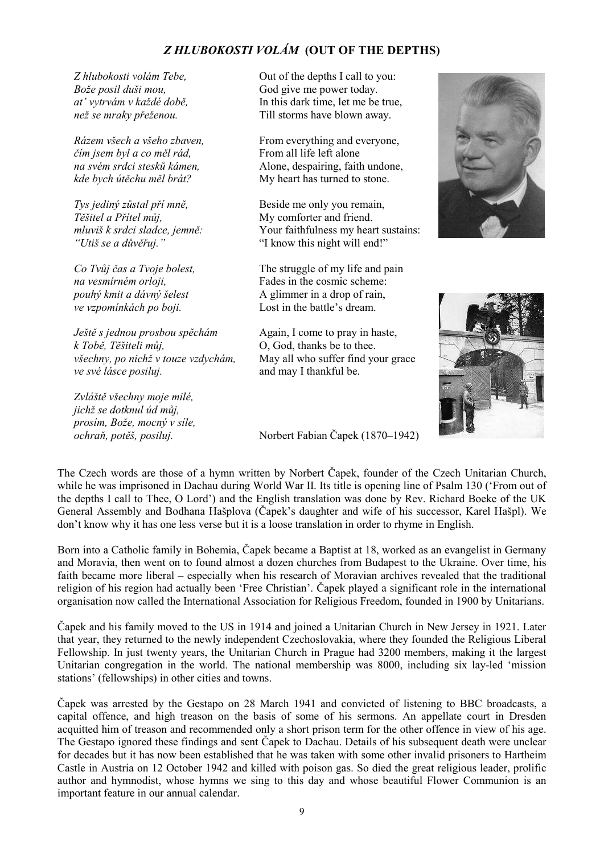# *Z HLUBOKOSTI VOLÁM* **(OUT OF THE DEPTHS)**

*Z hlubokosti volám Tebe, Bože posil duši mou, at' vytrvám v každé době, než se mraky přeženou.*

*Rázem všech a všeho zbaven, čím jsem byl a co měl rád, na svém srdci stesků kámen, kde bych útěchu měl brát?*

*Tys jediný zůstal pří mně, Těšitel a Přítel můj, mluviš k srdci sladce, jemně: "Utiš se a důvěřuj."*

*Co Tvůj čas a Tvoje bolest, na vesmírném orloji, pouhý kmit a dávný šelest ve vzpomínkách po boji.*

*Ještě s jednou prosbou spěchám k Tobě, Těšiteli můj, všechny, po nichž v touze vzdychám, ve své lásce posiluj.*

*Zvláště všechny moje milé, jichž se dotknul úd můj, prosím, Bože, mocný v síle, ochraň, potěš, posiluj.* 

Out of the depths I call to you: God give me power today. In this dark time, let me be true, Till storms have blown away.

From everything and everyone, From all life left alone Alone, despairing, faith undone, My heart has turned to stone.

Beside me only you remain, My comforter and friend. Your faithfulness my heart sustains: "I know this night will end!"

The struggle of my life and pain Fades in the cosmic scheme: A glimmer in a drop of rain, Lost in the battle's dream.

Again, I come to pray in haste, O, God, thanks be to thee. May all who suffer find your grace and may I thankful be.



Norbert Fabian Čapek (1870–1942)

The Czech words are those of a hymn written by Norbert Čapek, founder of the Czech Unitarian Church, while he was imprisoned in Dachau during World War II. Its title is opening line of Psalm 130 ('From out of the depths I call to Thee, O Lord') and the English translation was done by Rev. Richard Boeke of the UK General Assembly and Bodhana Hašplova (Čapek's daughter and wife of his successor, Karel Hašpl). We don't know why it has one less verse but it is a loose translation in order to rhyme in English.

Born into a Catholic family in Bohemia, Čapek became a Baptist at 18, worked as an evangelist in Germany and Moravia, then went on to found almost a dozen churches from Budapest to the Ukraine. Over time, his faith became more liberal – especially when his research of Moravian archives revealed that the traditional religion of his region had actually been 'Free Christian'. Čapek played a significant role in the international organisation now called the International Association for Religious Freedom, founded in 1900 by Unitarians.

Čapek and his family moved to the US in 1914 and joined a Unitarian Church in New Jersey in 1921. Later that year, they returned to the newly independent Czechoslovakia, where they founded the Religious Liberal Fellowship. In just twenty years, the Unitarian Church in Prague had 3200 members, making it the largest Unitarian congregation in the world. The national membership was 8000, including six lay-led 'mission stations' (fellowships) in other cities and towns.

Čapek was arrested by the Gestapo on 28 March 1941 and convicted of listening to BBC broadcasts, a capital offence, and high treason on the basis of some of his sermons. An appellate court in Dresden acquitted him of treason and recommended only a short prison term for the other offence in view of his age. The Gestapo ignored these findings and sent Čapek to Dachau. Details of his subsequent death were unclear for decades but it has now been established that he was taken with some other invalid prisoners to Hartheim Castle in Austria on 12 October 1942 and killed with poison gas. So died the great religious leader, prolific author and hymnodist, whose hymns we sing to this day and whose beautiful Flower Communion is an important feature in our annual calendar.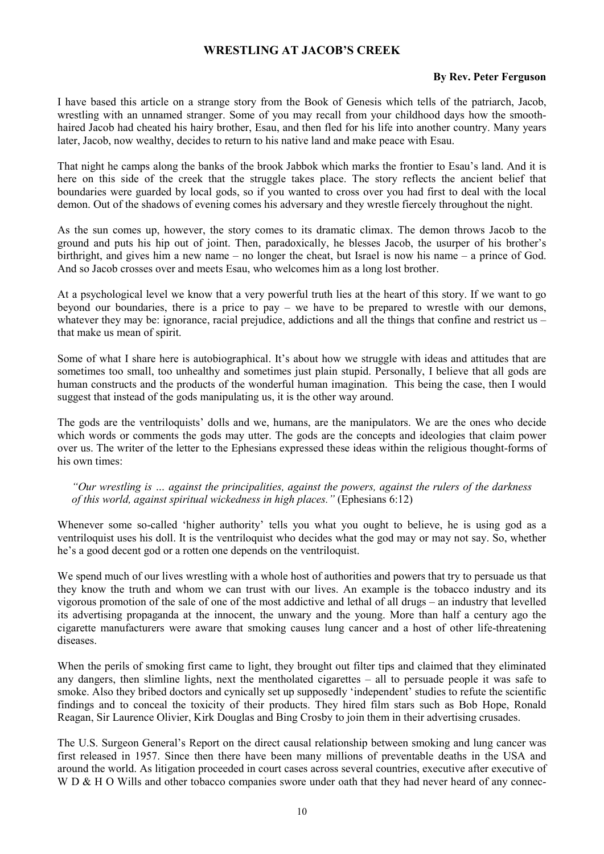### **WRESTLING AT JACOB'S CREEK**

#### **By Rev. Peter Ferguson**

I have based this article on a strange story from the Book of Genesis which tells of the patriarch, Jacob, wrestling with an unnamed stranger. Some of you may recall from your childhood days how the smoothhaired Jacob had cheated his hairy brother, Esau, and then fled for his life into another country. Many years later, Jacob, now wealthy, decides to return to his native land and make peace with Esau.

That night he camps along the banks of the brook Jabbok which marks the frontier to Esau's land. And it is here on this side of the creek that the struggle takes place. The story reflects the ancient belief that boundaries were guarded by local gods, so if you wanted to cross over you had first to deal with the local demon. Out of the shadows of evening comes his adversary and they wrestle fiercely throughout the night.

As the sun comes up, however, the story comes to its dramatic climax. The demon throws Jacob to the ground and puts his hip out of joint. Then, paradoxically, he blesses Jacob, the usurper of his brother's birthright, and gives him a new name – no longer the cheat, but Israel is now his name – a prince of God. And so Jacob crosses over and meets Esau, who welcomes him as a long lost brother.

At a psychological level we know that a very powerful truth lies at the heart of this story. If we want to go beyond our boundaries, there is a price to pay – we have to be prepared to wrestle with our demons, whatever they may be: ignorance, racial prejudice, addictions and all the things that confine and restrict us – that make us mean of spirit.

Some of what I share here is autobiographical. It's about how we struggle with ideas and attitudes that are sometimes too small, too unhealthy and sometimes just plain stupid. Personally, I believe that all gods are human constructs and the products of the wonderful human imagination. This being the case, then I would suggest that instead of the gods manipulating us, it is the other way around.

The gods are the ventriloquists' dolls and we, humans, are the manipulators. We are the ones who decide which words or comments the gods may utter. The gods are the concepts and ideologies that claim power over us. The writer of the letter to the Ephesians expressed these ideas within the religious thought-forms of his own times:

*"Our wrestling is … against the principalities, against the powers, against the rulers of the darkness of this world, against spiritual wickedness in high places."* (Ephesians 6:12)

Whenever some so-called 'higher authority' tells you what you ought to believe, he is using god as a ventriloquist uses his doll. It is the ventriloquist who decides what the god may or may not say. So, whether he's a good decent god or a rotten one depends on the ventriloquist.

We spend much of our lives wrestling with a whole host of authorities and powers that try to persuade us that they know the truth and whom we can trust with our lives. An example is the tobacco industry and its vigorous promotion of the sale of one of the most addictive and lethal of all drugs – an industry that levelled its advertising propaganda at the innocent, the unwary and the young. More than half a century ago the cigarette manufacturers were aware that smoking causes lung cancer and a host of other life-threatening diseases.

When the perils of smoking first came to light, they brought out filter tips and claimed that they eliminated any dangers, then slimline lights, next the mentholated cigarettes – all to persuade people it was safe to smoke. Also they bribed doctors and cynically set up supposedly 'independent' studies to refute the scientific findings and to conceal the toxicity of their products. They hired film stars such as Bob Hope, Ronald Reagan, Sir Laurence Olivier, Kirk Douglas and Bing Crosby to join them in their advertising crusades.

The U.S. Surgeon General's Report on the direct causal relationship between smoking and lung cancer was first released in 1957. Since then there have been many millions of preventable deaths in the USA and around the world. As litigation proceeded in court cases across several countries, executive after executive of W D & H O Wills and other tobacco companies swore under oath that they had never heard of any connec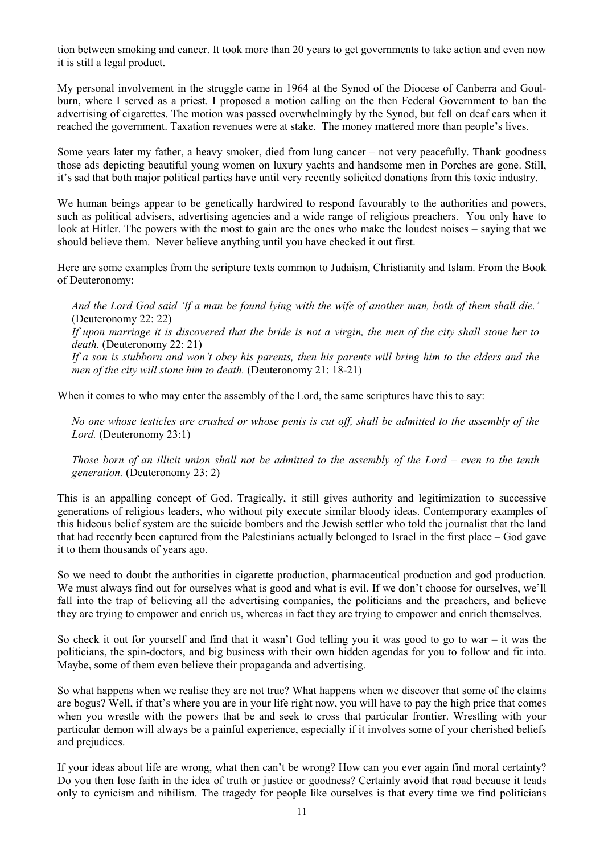tion between smoking and cancer. It took more than 20 years to get governments to take action and even now it is still a legal product.

My personal involvement in the struggle came in 1964 at the Synod of the Diocese of Canberra and Goulburn, where I served as a priest. I proposed a motion calling on the then Federal Government to ban the advertising of cigarettes. The motion was passed overwhelmingly by the Synod, but fell on deaf ears when it reached the government. Taxation revenues were at stake. The money mattered more than people's lives.

Some years later my father, a heavy smoker, died from lung cancer – not very peacefully. Thank goodness those ads depicting beautiful young women on luxury yachts and handsome men in Porches are gone. Still, it's sad that both major political parties have until very recently solicited donations from this toxic industry.

We human beings appear to be genetically hardwired to respond favourably to the authorities and powers, such as political advisers, advertising agencies and a wide range of religious preachers. You only have to look at Hitler. The powers with the most to gain are the ones who make the loudest noises – saying that we should believe them. Never believe anything until you have checked it out first.

Here are some examples from the scripture texts common to Judaism, Christianity and Islam. From the Book of Deuteronomy:

*And the Lord God said 'If a man be found lying with the wife of another man, both of them shall die.'*  (Deuteronomy 22: 22)

*If upon marriage it is discovered that the bride is not a virgin, the men of the city shall stone her to death.* (Deuteronomy 22: 21)

*If a son is stubborn and won't obey his parents, then his parents will bring him to the elders and the men of the city will stone him to death.* (Deuteronomy 21: 18-21)

When it comes to who may enter the assembly of the Lord, the same scriptures have this to say:

*No one whose testicles are crushed or whose penis is cut off, shall be admitted to the assembly of the Lord.* (Deuteronomy 23:1)

*Those born of an illicit union shall not be admitted to the assembly of the Lord – even to the tenth generation.* (Deuteronomy 23: 2)

This is an appalling concept of God. Tragically, it still gives authority and legitimization to successive generations of religious leaders, who without pity execute similar bloody ideas. Contemporary examples of this hideous belief system are the suicide bombers and the Jewish settler who told the journalist that the land that had recently been captured from the Palestinians actually belonged to Israel in the first place – God gave it to them thousands of years ago.

So we need to doubt the authorities in cigarette production, pharmaceutical production and god production. We must always find out for ourselves what is good and what is evil. If we don't choose for ourselves, we'll fall into the trap of believing all the advertising companies, the politicians and the preachers, and believe they are trying to empower and enrich us, whereas in fact they are trying to empower and enrich themselves.

So check it out for yourself and find that it wasn't God telling you it was good to go to war – it was the politicians, the spin-doctors, and big business with their own hidden agendas for you to follow and fit into. Maybe, some of them even believe their propaganda and advertising.

So what happens when we realise they are not true? What happens when we discover that some of the claims are bogus? Well, if that's where you are in your life right now, you will have to pay the high price that comes when you wrestle with the powers that be and seek to cross that particular frontier. Wrestling with your particular demon will always be a painful experience, especially if it involves some of your cherished beliefs and prejudices.

If your ideas about life are wrong, what then can't be wrong? How can you ever again find moral certainty? Do you then lose faith in the idea of truth or justice or goodness? Certainly avoid that road because it leads only to cynicism and nihilism. The tragedy for people like ourselves is that every time we find politicians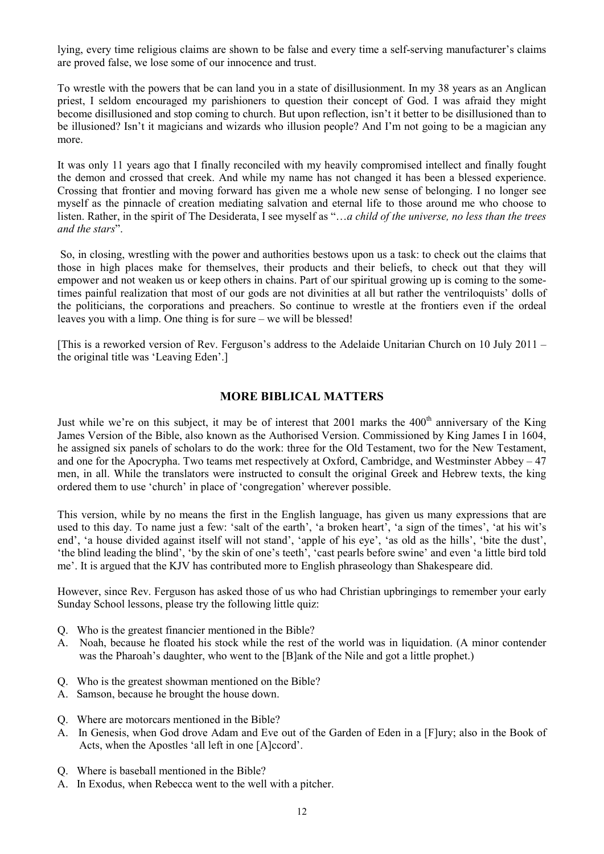lying, every time religious claims are shown to be false and every time a self-serving manufacturer's claims are proved false, we lose some of our innocence and trust.

To wrestle with the powers that be can land you in a state of disillusionment. In my 38 years as an Anglican priest, I seldom encouraged my parishioners to question their concept of God. I was afraid they might become disillusioned and stop coming to church. But upon reflection, isn't it better to be disillusioned than to be illusioned? Isn't it magicians and wizards who illusion people? And I'm not going to be a magician any more.

It was only 11 years ago that I finally reconciled with my heavily compromised intellect and finally fought the demon and crossed that creek. And while my name has not changed it has been a blessed experience. Crossing that frontier and moving forward has given me a whole new sense of belonging. I no longer see myself as the pinnacle of creation mediating salvation and eternal life to those around me who choose to listen. Rather, in the spirit of The Desiderata, I see myself as "…*a child of the universe, no less than the trees and the stars*".

 So, in closing, wrestling with the power and authorities bestows upon us a task: to check out the claims that those in high places make for themselves, their products and their beliefs, to check out that they will empower and not weaken us or keep others in chains. Part of our spiritual growing up is coming to the sometimes painful realization that most of our gods are not divinities at all but rather the ventriloquists' dolls of the politicians, the corporations and preachers. So continue to wrestle at the frontiers even if the ordeal leaves you with a limp. One thing is for sure – we will be blessed!

[This is a reworked version of Rev. Ferguson's address to the Adelaide Unitarian Church on 10 July 2011 – the original title was 'Leaving Eden'.]

### **MORE BIBLICAL MATTERS**

Just while we're on this subject, it may be of interest that 2001 marks the 400<sup>th</sup> anniversary of the King James Version of the Bible, also known as the Authorised Version. Commissioned by King James I in 1604, he assigned six panels of scholars to do the work: three for the Old Testament, two for the New Testament, and one for the Apocrypha. Two teams met respectively at Oxford, Cambridge, and Westminster Abbey – 47 men, in all. While the translators were instructed to consult the original Greek and Hebrew texts, the king ordered them to use 'church' in place of 'congregation' wherever possible.

This version, while by no means the first in the English language, has given us many expressions that are used to this day. To name just a few: 'salt of the earth', 'a broken heart', 'a sign of the times', 'at his wit's end', 'a house divided against itself will not stand', 'apple of his eye', 'as old as the hills', 'bite the dust', 'the blind leading the blind', 'by the skin of one's teeth', 'cast pearls before swine' and even 'a little bird told me'. It is argued that the KJV has contributed more to English phraseology than Shakespeare did.

However, since Rev. Ferguson has asked those of us who had Christian upbringings to remember your early Sunday School lessons, please try the following little quiz:

- Q. Who is the greatest financier mentioned in the Bible?
- A. Noah, because he floated his stock while the rest of the world was in liquidation. (A minor contender was the Pharoah's daughter, who went to the [B]ank of the Nile and got a little prophet.)
- Q. Who is the greatest showman mentioned on the Bible?
- A. Samson, because he brought the house down.
- Q. Where are motorcars mentioned in the Bible?
- A. In Genesis, when God drove Adam and Eve out of the Garden of Eden in a [F]ury; also in the Book of Acts, when the Apostles 'all left in one [A]ccord'.
- Q. Where is baseball mentioned in the Bible?
- A. In Exodus, when Rebecca went to the well with a pitcher.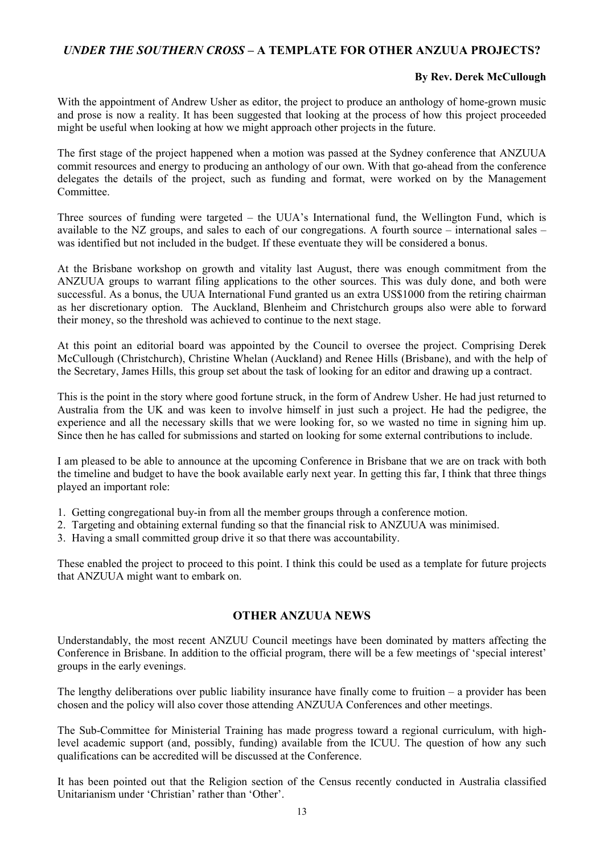### *UNDER THE SOUTHERN CROSS* **– A TEMPLATE FOR OTHER ANZUUA PROJECTS?**

### **By Rev. Derek McCullough**

With the appointment of Andrew Usher as editor, the project to produce an anthology of home-grown music and prose is now a reality. It has been suggested that looking at the process of how this project proceeded might be useful when looking at how we might approach other projects in the future.

The first stage of the project happened when a motion was passed at the Sydney conference that ANZUUA commit resources and energy to producing an anthology of our own. With that go-ahead from the conference delegates the details of the project, such as funding and format, were worked on by the Management Committee.

Three sources of funding were targeted – the UUA's International fund, the Wellington Fund, which is available to the NZ groups, and sales to each of our congregations. A fourth source – international sales – was identified but not included in the budget. If these eventuate they will be considered a bonus.

At the Brisbane workshop on growth and vitality last August, there was enough commitment from the ANZUUA groups to warrant filing applications to the other sources. This was duly done, and both were successful. As a bonus, the UUA International Fund granted us an extra US\$1000 from the retiring chairman as her discretionary option. The Auckland, Blenheim and Christchurch groups also were able to forward their money, so the threshold was achieved to continue to the next stage.

At this point an editorial board was appointed by the Council to oversee the project. Comprising Derek McCullough (Christchurch), Christine Whelan (Auckland) and Renee Hills (Brisbane), and with the help of the Secretary, James Hills, this group set about the task of looking for an editor and drawing up a contract.

This is the point in the story where good fortune struck, in the form of Andrew Usher. He had just returned to Australia from the UK and was keen to involve himself in just such a project. He had the pedigree, the experience and all the necessary skills that we were looking for, so we wasted no time in signing him up. Since then he has called for submissions and started on looking for some external contributions to include.

I am pleased to be able to announce at the upcoming Conference in Brisbane that we are on track with both the timeline and budget to have the book available early next year. In getting this far, I think that three things played an important role:

- 1. Getting congregational buy-in from all the member groups through a conference motion.
- 2. Targeting and obtaining external funding so that the financial risk to ANZUUA was minimised.
- 3. Having a small committed group drive it so that there was accountability.

These enabled the project to proceed to this point. I think this could be used as a template for future projects that ANZUUA might want to embark on.

### **OTHER ANZUUA NEWS**

Understandably, the most recent ANZUU Council meetings have been dominated by matters affecting the Conference in Brisbane. In addition to the official program, there will be a few meetings of 'special interest' groups in the early evenings.

The lengthy deliberations over public liability insurance have finally come to fruition – a provider has been chosen and the policy will also cover those attending ANZUUA Conferences and other meetings.

The Sub-Committee for Ministerial Training has made progress toward a regional curriculum, with highlevel academic support (and, possibly, funding) available from the ICUU. The question of how any such qualifications can be accredited will be discussed at the Conference.

It has been pointed out that the Religion section of the Census recently conducted in Australia classified Unitarianism under 'Christian' rather than 'Other'.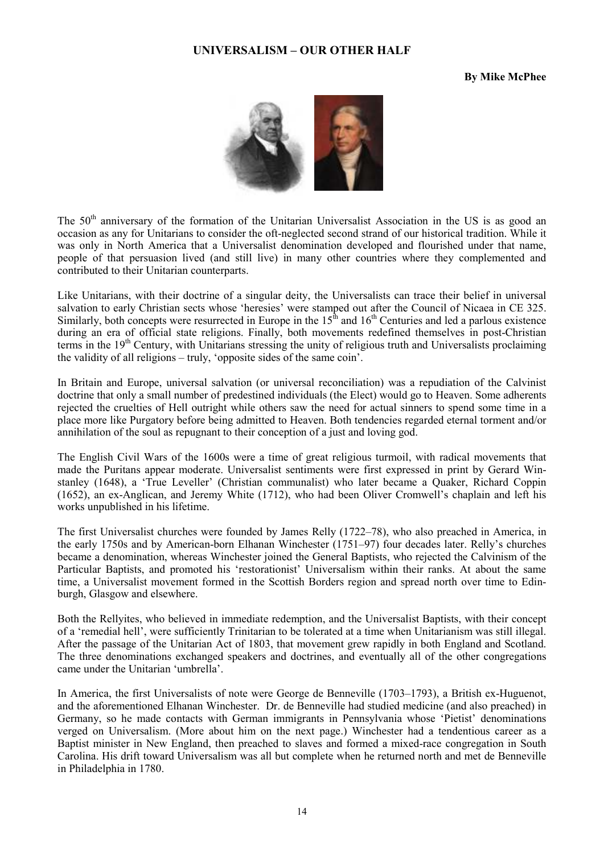#### **UNIVERSALISM – OUR OTHER HALF**

#### **By Mike McPhee**



The 50<sup>th</sup> anniversary of the formation of the Unitarian Universalist Association in the US is as good an occasion as any for Unitarians to consider the oft-neglected second strand of our historical tradition. While it was only in North America that a Universalist denomination developed and flourished under that name, people of that persuasion lived (and still live) in many other countries where they complemented and contributed to their Unitarian counterparts.

Like Unitarians, with their doctrine of a singular deity, the Universalists can trace their belief in universal salvation to early Christian sects whose 'heresies' were stamped out after the Council of Nicaea in CE 325. Similarly, both concepts were resurrected in Europe in the  $15<sup>th</sup>$  and  $16<sup>th</sup>$  Centuries and led a parlous existence during an era of official state religions. Finally, both movements redefined themselves in post-Christian terms in the 19<sup>th</sup> Century, with Unitarians stressing the unity of religious truth and Universalists proclaiming the validity of all religions – truly, 'opposite sides of the same coin'.

In Britain and Europe, universal salvation (or universal reconciliation) was a repudiation of the Calvinist doctrine that only a small number of predestined individuals (the Elect) would go to Heaven. Some adherents rejected the cruelties of Hell outright while others saw the need for actual sinners to spend some time in a place more like Purgatory before being admitted to Heaven. Both tendencies regarded eternal torment and/or annihilation of the soul as repugnant to their conception of a just and loving god.

The English Civil Wars of the 1600s were a time of great religious turmoil, with radical movements that made the Puritans appear moderate. Universalist sentiments were first expressed in print by Gerard Winstanley (1648), a 'True Leveller' (Christian communalist) who later became a Quaker, Richard Coppin (1652), an ex-Anglican, and Jeremy White (1712), who had been Oliver Cromwell's chaplain and left his works unpublished in his lifetime.

The first Universalist churches were founded by James Relly (1722–78), who also preached in America, in the early 1750s and by American-born Elhanan Winchester (1751–97) four decades later. Relly's churches became a denomination, whereas Winchester joined the General Baptists, who rejected the Calvinism of the Particular Baptists, and promoted his 'restorationist' Universalism within their ranks. At about the same time, a Universalist movement formed in the Scottish Borders region and spread north over time to Edinburgh, Glasgow and elsewhere.

Both the Rellyites, who believed in immediate redemption, and the Universalist Baptists, with their concept of a 'remedial hell', were sufficiently Trinitarian to be tolerated at a time when Unitarianism was still illegal. After the passage of the Unitarian Act of 1803, that movement grew rapidly in both England and Scotland. The three denominations exchanged speakers and doctrines, and eventually all of the other congregations came under the Unitarian 'umbrella'.

In America, the first Universalists of note were George de Benneville (1703–1793), a British ex-Huguenot, and the aforementioned Elhanan Winchester. Dr. de Benneville had studied medicine (and also preached) in Germany, so he made contacts with German immigrants in Pennsylvania whose 'Pietist' denominations verged on Universalism. (More about him on the next page.) Winchester had a tendentious career as a Baptist minister in New England, then preached to slaves and formed a mixed-race congregation in South Carolina. His drift toward Universalism was all but complete when he returned north and met de Benneville in Philadelphia in 1780.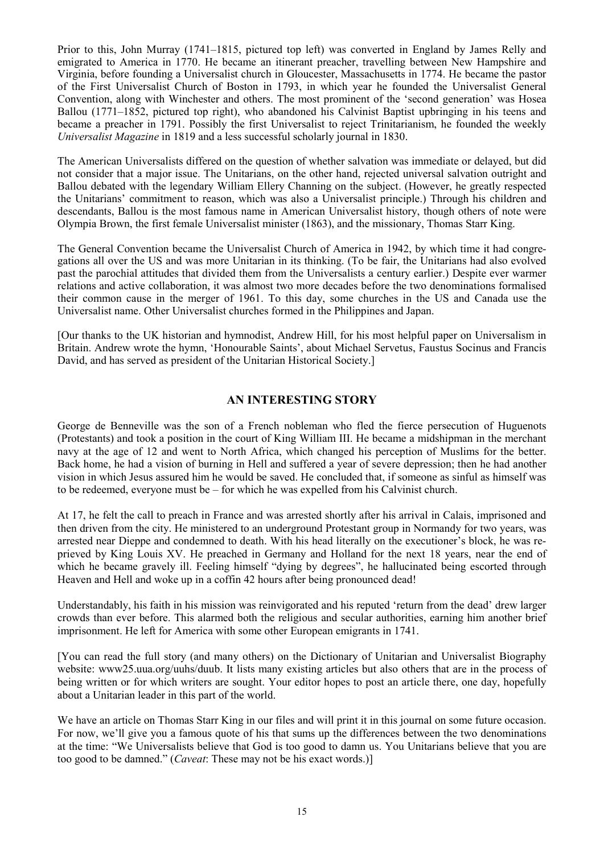Prior to this, John Murray (1741–1815, pictured top left) was converted in England by James Relly and emigrated to America in 1770. He became an itinerant preacher, travelling between New Hampshire and Virginia, before founding a Universalist church in Gloucester, Massachusetts in 1774. He became the pastor of the First Universalist Church of Boston in 1793, in which year he founded the Universalist General Convention, along with Winchester and others. The most prominent of the 'second generation' was Hosea Ballou (1771–1852, pictured top right), who abandoned his Calvinist Baptist upbringing in his teens and became a preacher in 1791. Possibly the first Universalist to reject Trinitarianism, he founded the weekly *Universalist Magazine* in 1819 and a less successful scholarly journal in 1830.

The American Universalists differed on the question of whether salvation was immediate or delayed, but did not consider that a major issue. The Unitarians, on the other hand, rejected universal salvation outright and Ballou debated with the legendary William Ellery Channing on the subject. (However, he greatly respected the Unitarians' commitment to reason, which was also a Universalist principle.) Through his children and descendants, Ballou is the most famous name in American Universalist history, though others of note were Olympia Brown, the first female Universalist minister (1863), and the missionary, Thomas Starr King.

The General Convention became the Universalist Church of America in 1942, by which time it had congregations all over the US and was more Unitarian in its thinking. (To be fair, the Unitarians had also evolved past the parochial attitudes that divided them from the Universalists a century earlier.) Despite ever warmer relations and active collaboration, it was almost two more decades before the two denominations formalised their common cause in the merger of 1961. To this day, some churches in the US and Canada use the Universalist name. Other Universalist churches formed in the Philippines and Japan.

[Our thanks to the UK historian and hymnodist, Andrew Hill, for his most helpful paper on Universalism in Britain. Andrew wrote the hymn, 'Honourable Saints', about Michael Servetus, Faustus Socinus and Francis David, and has served as president of the Unitarian Historical Society.]

### **AN INTERESTING STORY**

George de Benneville was the son of a French nobleman who fled the fierce persecution of Huguenots (Protestants) and took a position in the court of King William III. He became a midshipman in the merchant navy at the age of 12 and went to North Africa, which changed his perception of Muslims for the better. Back home, he had a vision of burning in Hell and suffered a year of severe depression; then he had another vision in which Jesus assured him he would be saved. He concluded that, if someone as sinful as himself was to be redeemed, everyone must be – for which he was expelled from his Calvinist church.

At 17, he felt the call to preach in France and was arrested shortly after his arrival in Calais, imprisoned and then driven from the city. He ministered to an underground Protestant group in Normandy for two years, was arrested near Dieppe and condemned to death. With his head literally on the executioner's block, he was reprieved by King Louis XV. He preached in Germany and Holland for the next 18 years, near the end of which he became gravely ill. Feeling himself "dying by degrees", he hallucinated being escorted through Heaven and Hell and woke up in a coffin 42 hours after being pronounced dead!

Understandably, his faith in his mission was reinvigorated and his reputed 'return from the dead' drew larger crowds than ever before. This alarmed both the religious and secular authorities, earning him another brief imprisonment. He left for America with some other European emigrants in 1741.

[You can read the full story (and many others) on the Dictionary of Unitarian and Universalist Biography website: www25.uua.org/uuhs/duub. It lists many existing articles but also others that are in the process of being written or for which writers are sought. Your editor hopes to post an article there, one day, hopefully about a Unitarian leader in this part of the world.

We have an article on Thomas Starr King in our files and will print it in this journal on some future occasion. For now, we'll give you a famous quote of his that sums up the differences between the two denominations at the time: "We Universalists believe that God is too good to damn us. You Unitarians believe that you are too good to be damned." (*Caveat*: These may not be his exact words.)]